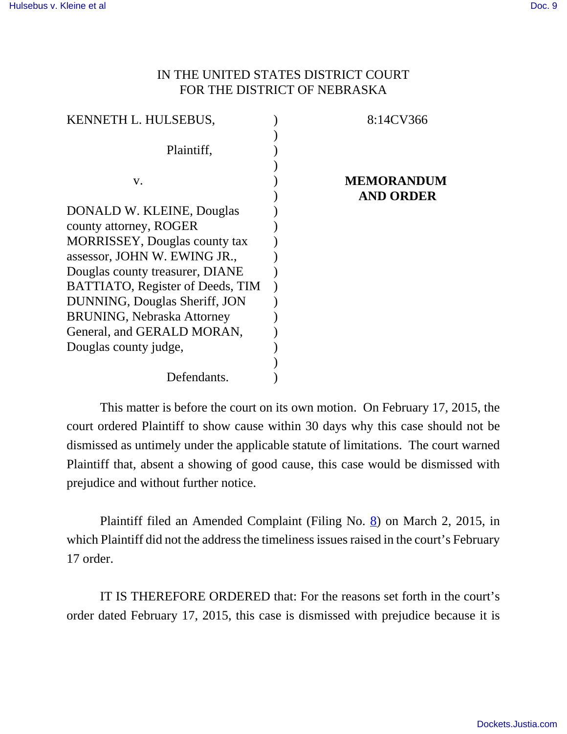## IN THE UNITED STATES DISTRICT COURT FOR THE DISTRICT OF NEBRASKA

| KENNETH L. HULSEBUS,                  | 8:14CV366         |
|---------------------------------------|-------------------|
|                                       |                   |
| Plaintiff,                            |                   |
|                                       |                   |
| V.                                    | <b>MEMORANDUM</b> |
|                                       | <b>AND ORDER</b>  |
| DONALD W. KLEINE, Douglas             |                   |
| county attorney, ROGER                |                   |
| <b>MORRISSEY</b> , Douglas county tax |                   |
| assessor, JOHN W. EWING JR.,          |                   |
| Douglas county treasurer, DIANE       |                   |
| BATTIATO, Register of Deeds, TIM      |                   |
| DUNNING, Douglas Sheriff, JON         |                   |
| <b>BRUNING, Nebraska Attorney</b>     |                   |
| General, and GERALD MORAN,            |                   |
| Douglas county judge,                 |                   |
|                                       |                   |
| Defendants.                           |                   |

This matter is before the court on its own motion. On February 17, 2015, the court ordered Plaintiff to show cause within 30 days why this case should not be dismissed as untimely under the applicable statute of limitations. The court warned Plaintiff that, absent a showing of good cause, this case would be dismissed with prejudice and without further notice.

Plaintiff filed an Amended Complaint (Filing No. 8) on March 2, 2015, in which Plaintiff did not the address the timeliness issues raised in the court's February 17 order.

IT IS THEREFORE ORDERED that: For the reasons set forth in the court's order dated February 17, 2015, this case is dismissed with prejudice because it is